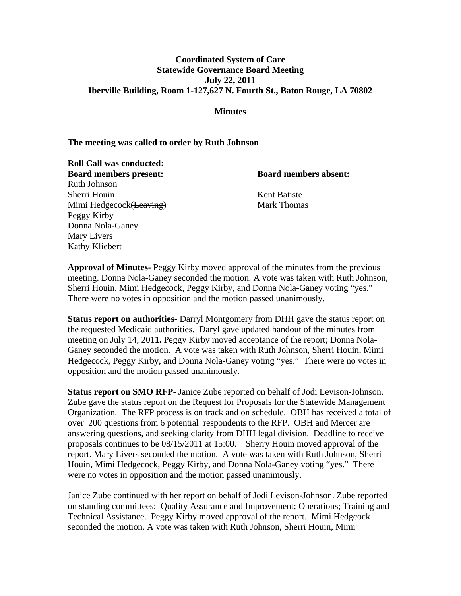## **Coordinated System of Care Statewide Governance Board Meeting July 22, 2011 Iberville Building, Room 1-127,627 N. Fourth St., Baton Rouge, LA 70802**

#### **Minutes**

#### **The meeting was called to order by Ruth Johnson**

**Roll Call was conducted: Board members present: Board members absent:** Ruth Johnson Sherri Houin Kent Batiste Mimi Hedgecock (Leaving) Mark Thomas Peggy Kirby Donna Nola-Ganey Mary Livers Kathy Kliebert

**Approval of Minutes-** Peggy Kirby moved approval of the minutes from the previous meeting. Donna Nola-Ganey seconded the motion. A vote was taken with Ruth Johnson, Sherri Houin, Mimi Hedgecock, Peggy Kirby, and Donna Nola-Ganey voting "yes." There were no votes in opposition and the motion passed unanimously.

**Status report on authorities-** Darryl Montgomery from DHH gave the status report on the requested Medicaid authorities. Daryl gave updated handout of the minutes from meeting on July 14, 201**1.** Peggy Kirby moved acceptance of the report; Donna Nola-Ganey seconded the motion. A vote was taken with Ruth Johnson, Sherri Houin, Mimi Hedgecock, Peggy Kirby, and Donna Nola-Ganey voting "yes." There were no votes in opposition and the motion passed unanimously.

**Status report on SMO RFP-** Janice Zube reported on behalf of Jodi Levison-Johnson. Zube gave the status report on the Request for Proposals for the Statewide Management Organization. The RFP process is on track and on schedule. OBH has received a total of over 200 questions from 6 potential respondents to the RFP. OBH and Mercer are answering questions, and seeking clarity from DHH legal division. Deadline to receive proposals continues to be 08/15/2011 at 15:00. Sherry Houin moved approval of the report. Mary Livers seconded the motion. A vote was taken with Ruth Johnson, Sherri Houin, Mimi Hedgecock, Peggy Kirby, and Donna Nola-Ganey voting "yes." There were no votes in opposition and the motion passed unanimously.

Janice Zube continued with her report on behalf of Jodi Levison-Johnson. Zube reported on standing committees: Quality Assurance and Improvement; Operations; Training and Technical Assistance. Peggy Kirby moved approval of the report. Mimi Hedgcock seconded the motion. A vote was taken with Ruth Johnson, Sherri Houin, Mimi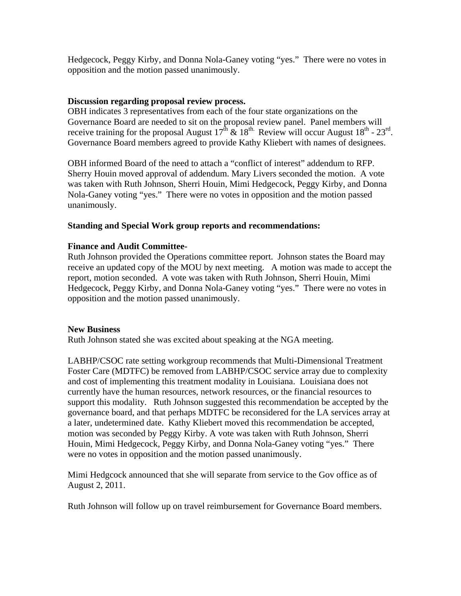Hedgecock, Peggy Kirby, and Donna Nola-Ganey voting "yes." There were no votes in opposition and the motion passed unanimously.

## **Discussion regarding proposal review process.**

OBH indicates 3 representatives from each of the four state organizations on the Governance Board are needed to sit on the proposal review panel. Panel members will receive training for the proposal August  $17^{\text{th}}$  &  $18^{\text{th}}$ . Review will occur August  $18^{\text{th}}$  -  $23^{\text{rd}}$ . Governance Board members agreed to provide Kathy Kliebert with names of designees.

OBH informed Board of the need to attach a "conflict of interest" addendum to RFP. Sherry Houin moved approval of addendum. Mary Livers seconded the motion. A vote was taken with Ruth Johnson, Sherri Houin, Mimi Hedgecock, Peggy Kirby, and Donna Nola-Ganey voting "yes." There were no votes in opposition and the motion passed unanimously.

# **Standing and Special Work group reports and recommendations:**

# **Finance and Audit Committee-**

Ruth Johnson provided the Operations committee report. Johnson states the Board may receive an updated copy of the MOU by next meeting. A motion was made to accept the report, motion seconded. A vote was taken with Ruth Johnson, Sherri Houin, Mimi Hedgecock, Peggy Kirby, and Donna Nola-Ganey voting "yes." There were no votes in opposition and the motion passed unanimously.

## **New Business**

Ruth Johnson stated she was excited about speaking at the NGA meeting.

LABHP/CSOC rate setting workgroup recommends that Multi-Dimensional Treatment Foster Care (MDTFC) be removed from LABHP/CSOC service array due to complexity and cost of implementing this treatment modality in Louisiana. Louisiana does not currently have the human resources, network resources, or the financial resources to support this modality. Ruth Johnson suggested this recommendation be accepted by the governance board, and that perhaps MDTFC be reconsidered for the LA services array at a later, undetermined date. Kathy Kliebert moved this recommendation be accepted, motion was seconded by Peggy Kirby. A vote was taken with Ruth Johnson, Sherri Houin, Mimi Hedgecock, Peggy Kirby, and Donna Nola-Ganey voting "yes." There were no votes in opposition and the motion passed unanimously.

Mimi Hedgcock announced that she will separate from service to the Gov office as of August 2, 2011.

Ruth Johnson will follow up on travel reimbursement for Governance Board members.